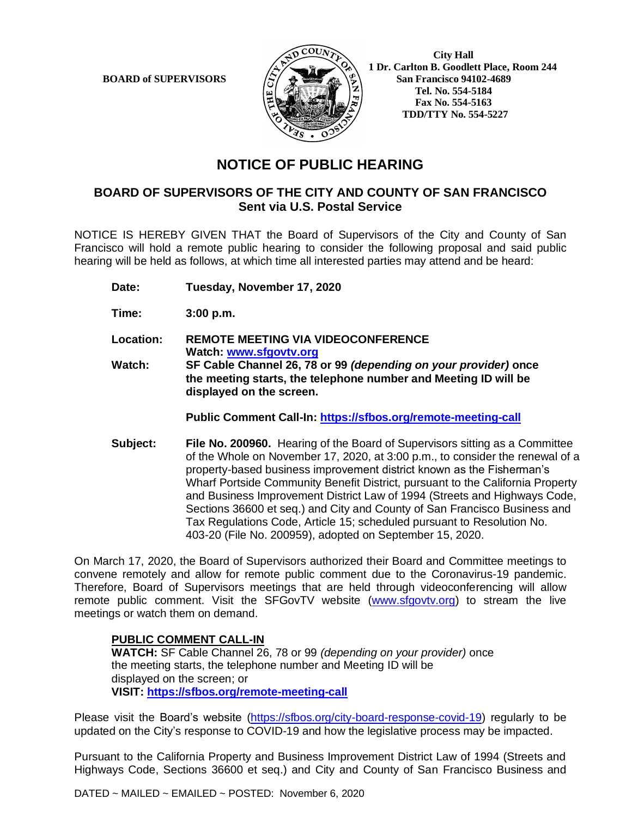

 **1 Dr. Carlton B. Goodlett Place, Room 244 BOARD of SUPERVISORS**  $\left(\frac{S}{I}\right)$   $\oplus$   $\left(\frac{S}{I}\right)$  San Francisco 94102-4689  **Tel. No. 554-5184 Fax No. 554-5163 TDD/TTY No. 554-5227**

# **NOTICE OF PUBLIC HEARING**

### **BOARD OF SUPERVISORS OF THE CITY AND COUNTY OF SAN FRANCISCO Sent via U.S. Postal Service**

NOTICE IS HEREBY GIVEN THAT the Board of Supervisors of the City and County of San Francisco will hold a remote public hearing to consider the following proposal and said public hearing will be held as follows, at which time all interested parties may attend and be heard:

**Date: Tuesday, November 17, 2020**

**displayed on the screen.**

**Time: 3:00 p.m.**

**Location: REMOTE MEETING VIA VIDEOCONFERENCE Watch: www.sfgovtv.org Watch: SF Cable Channel 26, 78 or 99** *(depending on your provider)* **once the meeting starts, the telephone number and Meeting ID will be**

**Public Comment Call-In: https://sfbos.org/remote-meeting-call**

**Subject: File No. 200960.** Hearing of the Board of Supervisors sitting as a Committee of the Whole on November 17, 2020, at 3:00 p.m., to consider the renewal of a property-based business improvement district known as the Fisherman's Wharf Portside Community Benefit District, pursuant to the California Property and Business Improvement District Law of 1994 (Streets and Highways Code, Sections 36600 et seq.) and City and County of San Francisco Business and Tax Regulations Code, Article 15; scheduled pursuant to Resolution No. 403-20 (File No. 200959), adopted on September 15, 2020.

On March 17, 2020, the Board of Supervisors authorized their Board and Committee meetings to convene remotely and allow for remote public comment due to the Coronavirus-19 pandemic. Therefore, Board of Supervisors meetings that are held through videoconferencing will allow remote public comment. Visit the SFGovTV website (www.sfgovtv.org) to stream the live meetings or watch them on demand.

#### **PUBLIC COMMENT CALL-IN**

**WATCH:** SF Cable Channel 26, 78 or 99 *(depending on your provider)* once the meeting starts, the telephone number and Meeting ID will be displayed on the screen; or **VISIT: https://sfbos.org/remote-meeting-call**

Please visit the Board's website (https://sfbos.org/city-board-response-covid-19) regularly to be updated on the City's response to COVID-19 and how the legislative process may be impacted.

Pursuant to the California Property and Business Improvement District Law of 1994 (Streets and Highways Code, Sections 36600 et seq.) and City and County of San Francisco Business and

DATED ~ MAILED ~ EMAILED ~ POSTED: November 6, 2020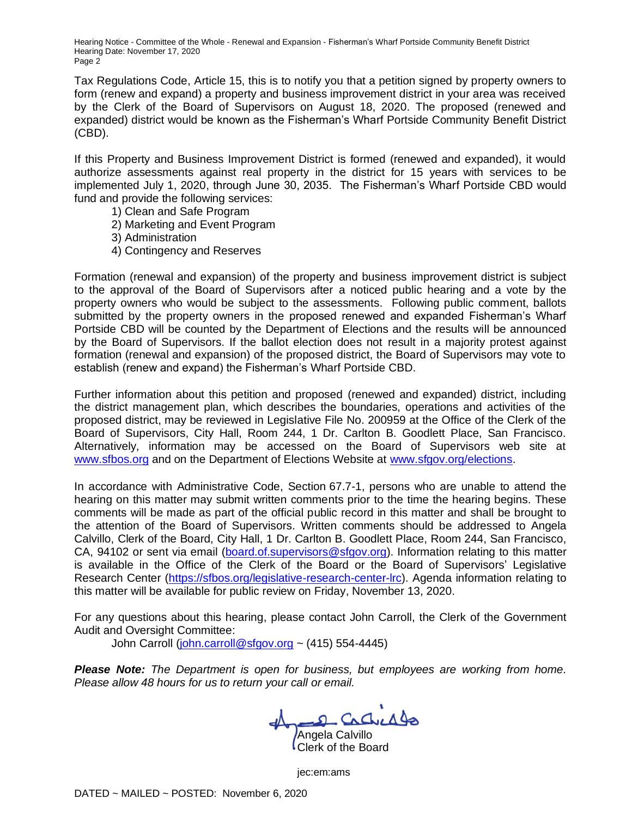Hearing Notice - Committee of the Whole - Renewal and Expansion - Fisherman's Wharf Portside Community Benefit District Hearing Date: November 17, 2020 Page 2

Tax Regulations Code, Article 15, this is to notify you that a petition signed by property owners to form (renew and expand) a property and business improvement district in your area was received by the Clerk of the Board of Supervisors on August 18, 2020. The proposed (renewed and expanded) district would be known as the Fisherman's Wharf Portside Community Benefit District (CBD).

If this Property and Business Improvement District is formed (renewed and expanded), it would authorize assessments against real property in the district for 15 years with services to be implemented July 1, 2020, through June 30, 2035. The Fisherman's Wharf Portside CBD would fund and provide the following services:

- 1) Clean and Safe Program
- 2) Marketing and Event Program
- 3) Administration
- 4) Contingency and Reserves

Formation (renewal and expansion) of the property and business improvement district is subject to the approval of the Board of Supervisors after a noticed public hearing and a vote by the property owners who would be subject to the assessments. Following public comment, ballots submitted by the property owners in the proposed renewed and expanded Fisherman's Wharf Portside CBD will be counted by the Department of Elections and the results will be announced by the Board of Supervisors. If the ballot election does not result in a majority protest against formation (renewal and expansion) of the proposed district, the Board of Supervisors may vote to establish (renew and expand) the Fisherman's Wharf Portside CBD.

Further information about this petition and proposed (renewed and expanded) district, including the district management plan, which describes the boundaries, operations and activities of the proposed district, may be reviewed in Legislative File No. 200959 at the Office of the Clerk of the Board of Supervisors, City Hall, Room 244, 1 Dr. Carlton B. Goodlett Place, San Francisco. Alternatively, information may be accessed on the Board of Supervisors web site at www.sfbos.org and on the Department of Elections Website at www.sfgov.org/elections.

In accordance with Administrative Code, Section 67.7-1, persons who are unable to attend the hearing on this matter may submit written comments prior to the time the hearing begins. These comments will be made as part of the official public record in this matter and shall be brought to the attention of the Board of Supervisors. Written comments should be addressed to Angela Calvillo, Clerk of the Board, City Hall, 1 Dr. Carlton B. Goodlett Place, Room 244, San Francisco, CA, 94102 or sent via email (board.of.supervisors@sfgov.org). Information relating to this matter is available in the Office of the Clerk of the Board or the Board of Supervisors' Legislative Research Center (https://sfbos.org/legislative-research-center-lrc). Agenda information relating to this matter will be available for public review on Friday, November 13, 2020.

For any questions about this hearing, please contact John Carroll, the Clerk of the Government Audit and Oversight Committee:

John Carroll (john.carroll@sfgov.org ~  $(415)$  554-4445)

*Please Note: The Department is open for business, but employees are working from home. Please allow 48 hours for us to return your call or email.*

Angela Calvillo

Clerk of the Board

jec:em:ams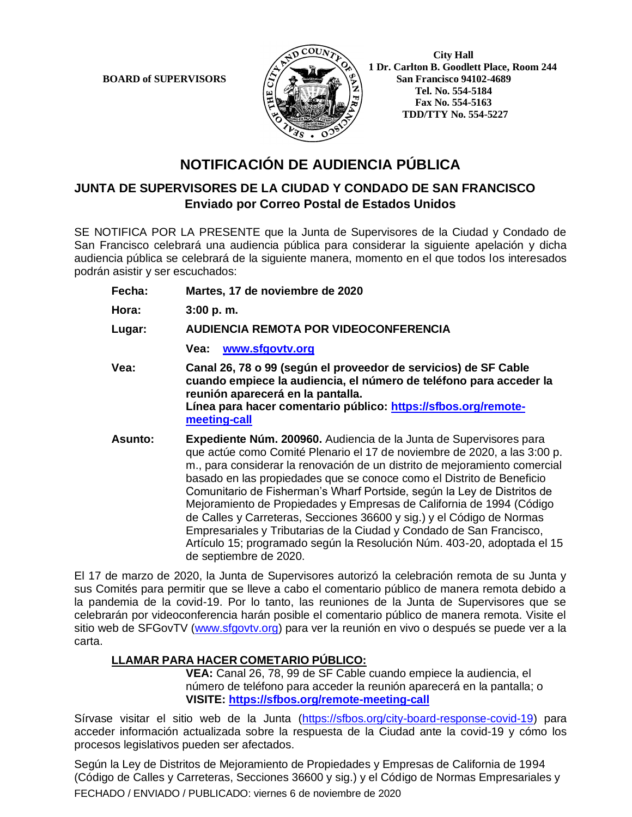

 **1 Dr. Carlton B. Goodlett Place, Room 244 BOARD of SUPERVISORS**  $\left(\frac{S}{I}\right)$   $\oplus$   $\left(\frac{S}{I}\right)$  San Francisco 94102-4689  **Tel. No. 554-5184 Fax No. 554-5163 TDD/TTY No. 554-5227**

# **NOTIFICACIÓN DE AUDIENCIA PÚBLICA**

## **JUNTA DE SUPERVISORES DE LA CIUDAD Y CONDADO DE SAN FRANCISCO Enviado por Correo Postal de Estados Unidos**

SE NOTIFICA POR LA PRESENTE que la Junta de Supervisores de la Ciudad y Condado de San Francisco celebrará una audiencia pública para considerar la siguiente apelación y dicha audiencia pública se celebrará de la siguiente manera, momento en el que todos los interesados podrán asistir y ser escuchados:

**Fecha: Martes, 17 de noviembre de 2020**

**Hora: 3:00 p. m.**

**Lugar: AUDIENCIA REMOTA POR VIDEOCONFERENCIA**

**Vea: www.sfgovtv.org**

- **Vea: Canal 26, 78 o 99 (según el proveedor de servicios) de SF Cable cuando empiece la audiencia, el número de teléfono para acceder la reunión aparecerá en la pantalla. Línea para hacer comentario público: https://sfbos.org/remotemeeting-call**
- **Asunto: Expediente Núm. 200960.** Audiencia de la Junta de Supervisores para que actúe como Comité Plenario el 17 de noviembre de 2020, a las 3:00 p. m., para considerar la renovación de un distrito de mejoramiento comercial basado en las propiedades que se conoce como el Distrito de Beneficio Comunitario de Fisherman's Wharf Portside, según la Ley de Distritos de Mejoramiento de Propiedades y Empresas de California de 1994 (Código de Calles y Carreteras, Secciones 36600 y sig.) y el Código de Normas Empresariales y Tributarias de la Ciudad y Condado de San Francisco, Artículo 15; programado según la Resolución Núm. 403-20, adoptada el 15 de septiembre de 2020.

El 17 de marzo de 2020, la Junta de Supervisores autorizó la celebración remota de su Junta y sus Comités para permitir que se lleve a cabo el comentario público de manera remota debido a la pandemia de la covid-19. Por lo tanto, las reuniones de la Junta de Supervisores que se celebrarán por videoconferencia harán posible el comentario público de manera remota. Visite el sitio web de SFGovTV (www.sfgovtv.org) para ver la reunión en vivo o después se puede ver a la carta.

### **LLAMAR PARA HACER COMETARIO PÚBLICO:**

**VEA:** Canal 26, 78, 99 de SF Cable cuando empiece la audiencia, el número de teléfono para acceder la reunión aparecerá en la pantalla; o **VISITE: https://sfbos.org/remote-meeting-call**

Sírvase visitar el sitio web de la Junta (https://sfbos.org/city-board-response-covid-19) para acceder información actualizada sobre la respuesta de la Ciudad ante la covid-19 y cómo los procesos legislativos pueden ser afectados.

FECHADO / ENVIADO / PUBLICADO: viernes 6 de noviembre de 2020 Según la Ley de Distritos de Mejoramiento de Propiedades y Empresas de California de 1994 (Código de Calles y Carreteras, Secciones 36600 y sig.) y el Código de Normas Empresariales y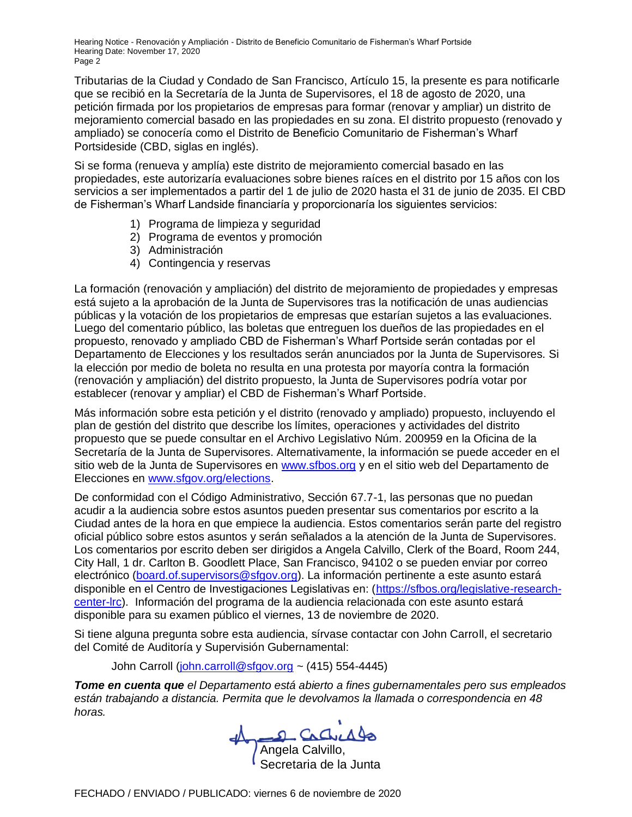Hearing Notice - Renovación y Ampliación - Distrito de Beneficio Comunitario de Fisherman's Wharf Portside Hearing Date: November 17, 2020 Page 2

Tributarias de la Ciudad y Condado de San Francisco, Artículo 15, la presente es para notificarle que se recibió en la Secretaría de la Junta de Supervisores, el 18 de agosto de 2020, una petición firmada por los propietarios de empresas para formar (renovar y ampliar) un distrito de mejoramiento comercial basado en las propiedades en su zona. El distrito propuesto (renovado y ampliado) se conocería como el Distrito de Beneficio Comunitario de Fisherman's Wharf Portsideside (CBD, siglas en inglés).

Si se forma (renueva y amplía) este distrito de mejoramiento comercial basado en las propiedades, este autorizaría evaluaciones sobre bienes raíces en el distrito por 15 años con los servicios a ser implementados a partir del 1 de julio de 2020 hasta el 31 de junio de 2035. El CBD de Fisherman's Wharf Landside financiaría y proporcionaría los siguientes servicios:

- 1) Programa de limpieza y seguridad
- 2) Programa de eventos y promoción
- 3) Administración
- 4) Contingencia y reservas

La formación (renovación y ampliación) del distrito de mejoramiento de propiedades y empresas está sujeto a la aprobación de la Junta de Supervisores tras la notificación de unas audiencias públicas y la votación de los propietarios de empresas que estarían sujetos a las evaluaciones. Luego del comentario público, las boletas que entreguen los dueños de las propiedades en el propuesto, renovado y ampliado CBD de Fisherman's Wharf Portside serán contadas por el Departamento de Elecciones y los resultados serán anunciados por la Junta de Supervisores. Si la elección por medio de boleta no resulta en una protesta por mayoría contra la formación (renovación y ampliación) del distrito propuesto, la Junta de Supervisores podría votar por establecer (renovar y ampliar) el CBD de Fisherman's Wharf Portside.

Más información sobre esta petición y el distrito (renovado y ampliado) propuesto, incluyendo el plan de gestión del distrito que describe los límites, operaciones y actividades del distrito propuesto que se puede consultar en el Archivo Legislativo Núm. 200959 en la Oficina de la Secretaría de la Junta de Supervisores. Alternativamente, la información se puede acceder en el sitio web de la Junta de Supervisores en www.sfbos.org y en el sitio web del Departamento de Elecciones en www.sfgov.org/elections.

De conformidad con el Código Administrativo, Sección 67.7-1, las personas que no puedan acudir a la audiencia sobre estos asuntos pueden presentar sus comentarios por escrito a la Ciudad antes de la hora en que empiece la audiencia. Estos comentarios serán parte del registro oficial público sobre estos asuntos y serán señalados a la atención de la Junta de Supervisores. Los comentarios por escrito deben ser dirigidos a Angela Calvillo, Clerk of the Board, Room 244, City Hall, 1 dr. Carlton B. Goodlett Place, San Francisco, 94102 o se pueden enviar por correo electrónico (board.of.supervisors@sfgov.org). La información pertinente a este asunto estará disponible en el Centro de Investigaciones Legislativas en: (https://sfbos.org/legislative-researchcenter-lrc). Información del programa de la audiencia relacionada con este asunto estará disponible para su examen público el viernes, 13 de noviembre de 2020.

Si tiene alguna pregunta sobre esta audiencia, sírvase contactar con John Carroll, el secretario del Comité de Auditoría y Supervisión Gubernamental:

John Carroll (john.carroll@sfgov.org ~  $(415)$  554-4445)

*Tome en cuenta que el Departamento está abierto a fines gubernamentales pero sus empleados están trabajando a distancia. Permita que le devolvamos la llamada o correspondencia en 48 horas.*

Angela Calvillo, Secretaria de la Junta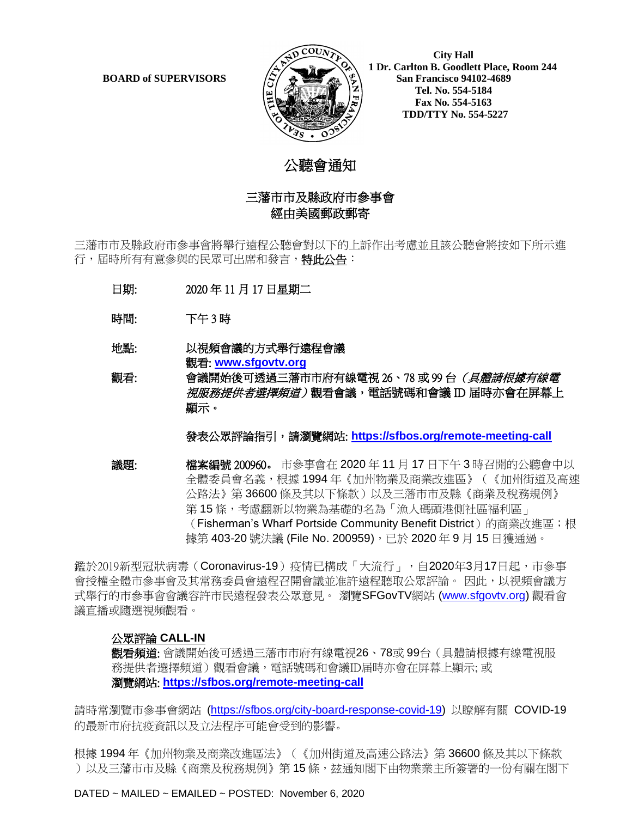

 **1 Dr. Carlton B. Goodlett Place, Room 244 BOARD of SUPERVISORS**  $\left(\frac{S}{I}\right)$   $\oplus$   $\left(\frac{S}{I}\right)$  San Francisco 94102-4689  **Tel. No. 554-5184 Fax No. 554-5163 TDD/TTY No. 554-5227**

## 公聽會通知

### 三藩市市及縣政府市參事會 經由美國郵政郵寄

三藩市市及縣政府市參事會將舉行遠程公聽會對以下的上訴作出考慮並且該公聽會將按如下所示進 行,届時所有有意參與的民眾可出席和發言,**特此公告**:

- 日期: 2020 年 11 月 17 日星期二
- 時間: 下午 3 時
- 地點: 以視頻會議的方式舉行遠程會議 觀看: **www.sfgovtv.org**

觀看: 會議開始後可透過三藩市市府有線電視 26、78 或 99 台*(具體請根據有線電* 視服務提供者選擇頻道)觀看會議,電話號碼和會議 ID 届時亦會在屏幕上 顯示。

發表公眾評論指引,請瀏覽網站: **https://sfbos.org/remote-meeting-call**

議題: 檔案編號 200960。 市參事會在 2020 年 11 月 17 日下午 3 時召開的公聽會中以 全體委員會名義,根據 1994 年《加州物業及商業改進區》(《加州街道及高速 公路法》第 36600 條及其以下條款)以及三藩市市及縣《商業及稅務規例》 第15條,考慮翻新以物業為基礎的名為「漁人碼頭港側社區福利區」 (Fisherman's Wharf Portside Community Benefit District) 的商業改進區;根 據第 403-20 號決議 (File No. 200959), 已於 2020 年 9 月 15 日獲通過。

鑑於2019新型冠狀病毒(Coronavirus-19)疫情已構成「大流行」,自2020年3月17日起,市參事 會授權全體市參事會及其常務委員會遠程召開會議並准許遠程聽取公眾評論。 因此,以視頻會議方 式舉行的市參事會會議容許市民遠程發表公眾意見。 瀏覽SFGovTV網站 (www.sfgovtv.org) 觀看會 議直播或隨選視頻觀看。

#### 公眾評論 **CALL-IN**

**觀看頻道:** 會議開始後可透過三藩市市府有線電視26、78或 99台(具體請根據有線電視服 務提供者選擇頻道)觀看會議,電話號碼和會議ID届時亦會在屏幕上顯示; 或 瀏覽網站: **https://sfbos.org/remote-meeting-call**

請時常瀏覽市參事會網站 (https://sfbos.org/city-board-response-covid-19) 以瞭解有關 COVID-19 的最新市府抗疫資訊以及立法程序可能會受到的影響。

根據 1994 年《加州物業及商業改進區法》(《加州街道及高速公路法》第 36600 條及其以下條款 )以及三藩市市及縣《商業及稅務規例》第 15 條,玆通知閣下由物業業主所簽署的一份有關在閣下

DATED ~ MAILED ~ EMAILED ~ POSTED: November 6, 2020